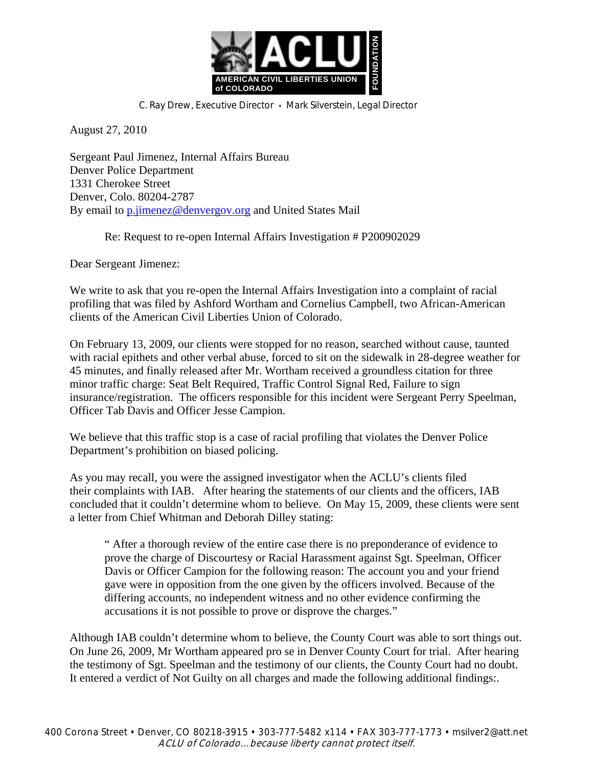

C. Ray Drew, Executive Director . Mark Silverstein, Legal Director

August 27, 2010

Sergeant Paul Jimenez, Internal Affairs Bureau Denver Police Department 1331 Cherokee Street Denver, Colo. 80204-2787 By email to p.jimenez@denvergov.org and United States Mail

Re: Request to re-open Internal Affairs Investigation # P200902029

Dear Sergeant Jimenez:

We write to ask that you re-open the Internal Affairs Investigation into a complaint of racial profiling that was filed by Ashford Wortham and Cornelius Campbell, two African-American clients of the American Civil Liberties Union of Colorado.

On February 13, 2009, our clients were stopped for no reason, searched without cause, taunted with racial epithets and other verbal abuse, forced to sit on the sidewalk in 28-degree weather for 45 minutes, and finally released after Mr. Wortham received a groundless citation for three minor traffic charge: Seat Belt Required, Traffic Control Signal Red, Failure to sign insurance/registration. The officers responsible for this incident were Sergeant Perry Speelman, Officer Tab Davis and Officer Jesse Campion.

We believe that this traffic stop is a case of racial profiling that violates the Denver Police Department's prohibition on biased policing.

As you may recall, you were the assigned investigator when the ACLU's clients filed their complaints with IAB. After hearing the statements of our clients and the officers, IAB concluded that it couldn't determine whom to believe. On May 15, 2009, these clients were sent a letter from Chief Whitman and Deborah Dilley stating:

" After a thorough review of the entire case there is no preponderance of evidence to prove the charge of Discourtesy or Racial Harassment against Sgt. Speelman, Officer Davis or Officer Campion for the following reason: The account you and your friend gave were in opposition from the one given by the officers involved. Because of the differing accounts, no independent witness and no other evidence confirming the accusations it is not possible to prove or disprove the charges."

Although IAB couldn't determine whom to believe, the County Court was able to sort things out. On June 26, 2009, Mr Wortham appeared pro se in Denver County Court for trial. After hearing the testimony of Sgt. Speelman and the testimony of our clients, the County Court had no doubt. It entered a verdict of Not Guilty on all charges and made the following additional findings:.